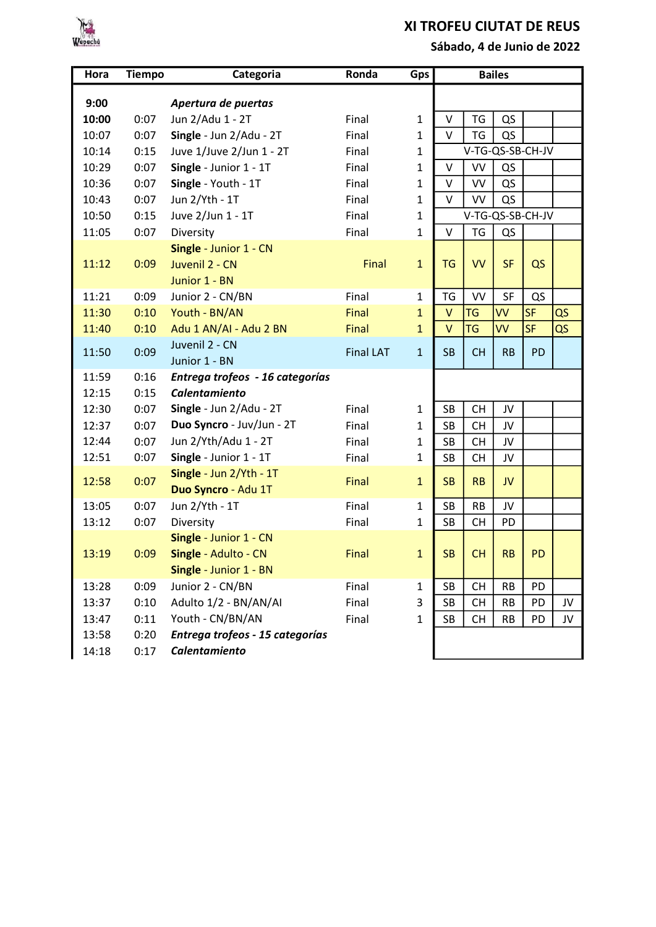

## XI TROFEU CIUTAT DE REUS

Sábado, 4 de Junio de 2022

| Hora           | <b>Tiempo</b> | Categoria                                                                | Ronda            | Gps          | <b>Bailes</b>    |           |           |           |    |
|----------------|---------------|--------------------------------------------------------------------------|------------------|--------------|------------------|-----------|-----------|-----------|----|
| 9:00           |               | Apertura de puertas                                                      |                  |              |                  |           |           |           |    |
| 10:00          | 0:07          | Jun 2/Adu 1 - 2T                                                         | Final            | $\mathbf{1}$ | V                | <b>TG</b> | QS        |           |    |
| 10:07          | 0:07          | Single - Jun 2/Adu - 2T                                                  | Final            | $\mathbf{1}$ | V                | TG        | QS        |           |    |
| 10:14          | 0:15          | Juve 1/Juve 2/Jun 1 - 2T                                                 | Final            | 1            | V-TG-QS-SB-CH-JV |           |           |           |    |
| 10:29          | 0:07          | Single - Junior 1 - 1T                                                   | Final            | 1            | V                | VV        | QS        |           |    |
| 10:36          | 0:07          | Single - Youth - 1T                                                      | Final            | 1            | $\vee$           | VV        | QS        |           |    |
| 10:43          | 0:07          | Jun 2/Yth - 1T                                                           | Final            | $\mathbf{1}$ | $\vee$           | VV        | QS        |           |    |
| 10:50          | 0:15          | Juve 2/Jun 1 - 1T                                                        | Final            | 1            | V-TG-QS-SB-CH-JV |           |           |           |    |
| 11:05          | 0:07          | Diversity                                                                | Final            | 1            | $\vee$           | <b>TG</b> | QS        |           |    |
| 11:12          | 0:09          | Single - Junior 1 - CN<br>Juvenil 2 - CN<br>Junior 1 - BN                | Final            | $\mathbf{1}$ | <b>TG</b>        | <b>VV</b> | <b>SF</b> | QS        |    |
| 11:21          | 0:09          | Junior 2 - CN/BN                                                         | Final            | $\mathbf{1}$ | TG               | VV        | SF        | QS        |    |
| 11:30          | 0:10          | Youth - BN/AN                                                            | Final            | $\mathbf{1}$ | $\vee$           | <b>TG</b> | VV        | <b>SF</b> | QS |
| 11:40          | 0:10          | Adu 1 AN/AI - Adu 2 BN                                                   | Final            | $\mathbf{1}$ | $\vee$           | <b>TG</b> | <b>VV</b> | <b>SF</b> | QS |
| 11:50          | 0:09          | Juvenil 2 - CN<br>Junior 1 - BN                                          | <b>Final LAT</b> | $\mathbf{1}$ | <b>SB</b>        | <b>CH</b> | <b>RB</b> | <b>PD</b> |    |
| 11:59<br>12:15 | 0:16<br>0:15  | Entrega trofeos - 16 categorías<br>Calentamiento                         |                  |              |                  |           |           |           |    |
| 12:30          | 0:07          | Single - Jun 2/Adu - 2T                                                  | Final            | $\mathbf{1}$ | <b>SB</b>        | <b>CH</b> | JV        |           |    |
| 12:37          | 0:07          | Duo Syncro - Juv/Jun - 2T                                                | Final            | 1            | SB               | <b>CH</b> | JV        |           |    |
| 12:44          | 0:07          | Jun 2/Yth/Adu 1 - 2T                                                     | Final            | 1            | <b>SB</b>        | <b>CH</b> | JV        |           |    |
| 12:51          | 0:07          | Single - Junior 1 - 1T                                                   | Final            | 1            | <b>SB</b>        | <b>CH</b> | JV        |           |    |
| 12:58          | 0:07          | Single - Jun 2/Yth - 1T<br>Duo Syncro - Adu 1T                           | Final            | $\mathbf{1}$ | <b>SB</b>        | <b>RB</b> | JV        |           |    |
| 13:05          | 0:07          | Jun 2/Yth - 1T                                                           | Final            | $\mathbf{1}$ | SB               | RB        | JV        |           |    |
| 13:12          | 0:07          | Diversity                                                                | Final            | $\mathbf{1}$ | <b>SB</b>        | <b>CH</b> | PD        |           |    |
| 13:19          | 0:09          | Single - Junior 1 - CN<br>Single - Adulto - CN<br>Single - Junior 1 - BN | Final            | $\mathbf{1}$ | <b>SB</b>        | <b>CH</b> | <b>RB</b> | <b>PD</b> |    |
| 13:28          | 0:09          | Junior 2 - CN/BN                                                         | Final            | $\mathbf{1}$ | SB               | <b>CH</b> | RB        | PD        |    |
| 13:37          | 0:10          | Adulto 1/2 - BN/AN/AI                                                    | Final            | 3            | <b>SB</b>        | <b>CH</b> | <b>RB</b> | PD        | JV |
| 13:47          | 0:11          | Youth - CN/BN/AN                                                         | Final            | $\mathbf{1}$ | SB               | <b>CH</b> | <b>RB</b> | PD        | JV |
| 13:58<br>14:18 | 0:20<br>0:17  | Entrega trofeos - 15 categorías<br><b>Calentamiento</b>                  |                  |              |                  |           |           |           |    |